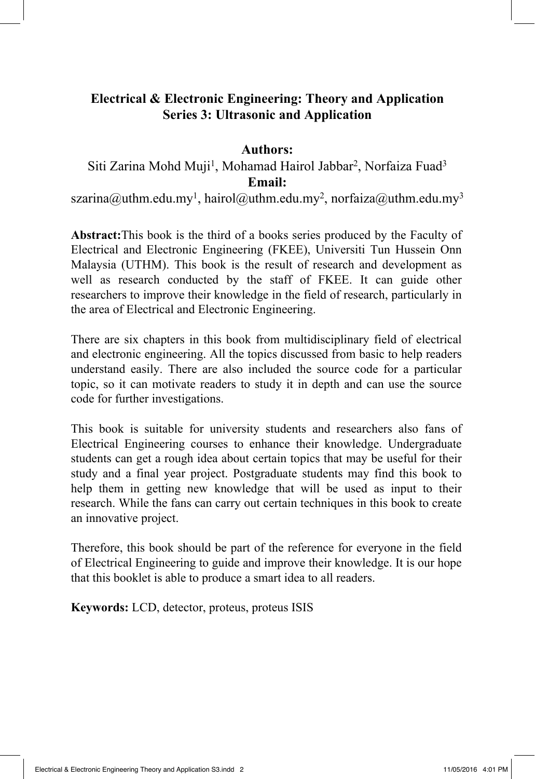# **Electrical & Electronic Engineering: Theory and Application Series 3: Ultrasonic and Application**

#### **Authors:**

# Siti Zarina Mohd Muji<sup>1</sup>, Mohamad Hairol Jabbar<sup>2</sup>, Norfaiza Fuad<sup>3</sup> **Email:**

szarina@uthm.edu.my<sup>1</sup>, hairol@uthm.edu.my<sup>2</sup>, norfaiza@uthm.edu.my<sup>3</sup>

**Abstract:**This book is the third of a books series produced by the Faculty of Electrical and Electronic Engineering (FKEE), Universiti Tun Hussein Onn Malaysia (UTHM). This book is the result of research and development as well as research conducted by the staff of FKEE. It can guide other researchers to improve their knowledge in the field of research, particularly in the area of Electrical and Electronic Engineering.

There are six chapters in this book from multidisciplinary field of electrical and electronic engineering. All the topics discussed from basic to help readers understand easily. There are also included the source code for a particular topic, so it can motivate readers to study it in depth and can use the source code for further investigations.

This book is suitable for university students and researchers also fans of Electrical Engineering courses to enhance their knowledge. Undergraduate students can get a rough idea about certain topics that may be useful for their study and a final year project. Postgraduate students may find this book to help them in getting new knowledge that will be used as input to their research. While the fans can carry out certain techniques in this book to create an innovative project.

Therefore, this book should be part of the reference for everyone in the field of Electrical Engineering to guide and improve their knowledge. It is our hope that this booklet is able to produce a smart idea to all readers.

**Keywords:** LCD, detector, proteus, proteus ISIS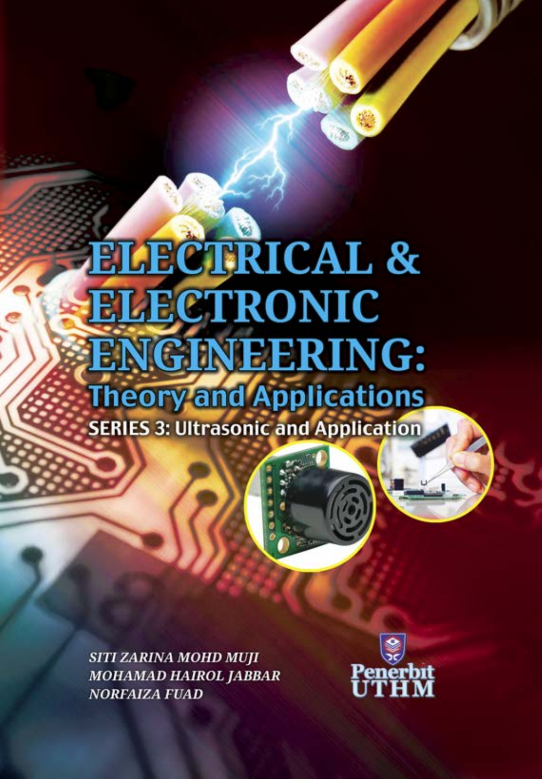# **ELECTRICAL & ELECTRONIC ENGINEERING: Theory and Applications SERIES 3: Ultrasonic and Application**

**SITI ZARINA MOHD MUJI MOHAMAD HAIROL JABBAR NORFAIZA FUAD** 

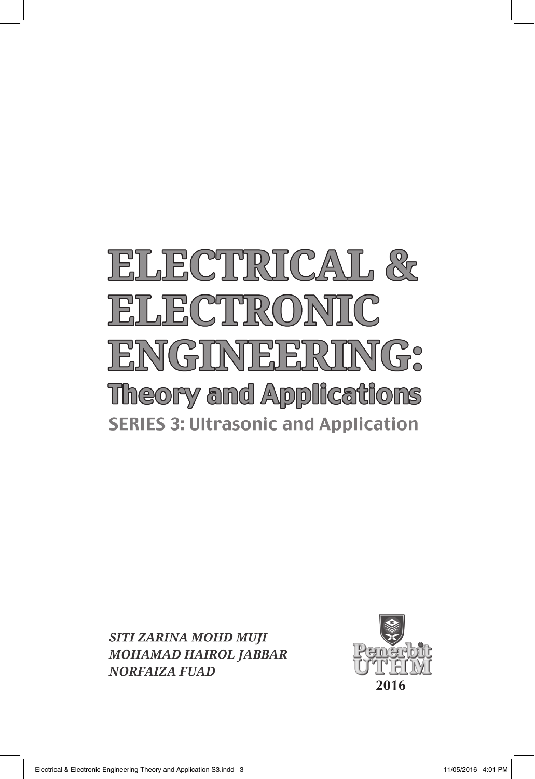# ELECTRICAL & ELECTRONIC ENGINEERING: **Theory and Applications SERIES 3: Ultrasonic and Application**

**SITI ZARINA MOHD MUJI MOHAMAD HAIROL JABBAR NORFAIZA FUAD** 

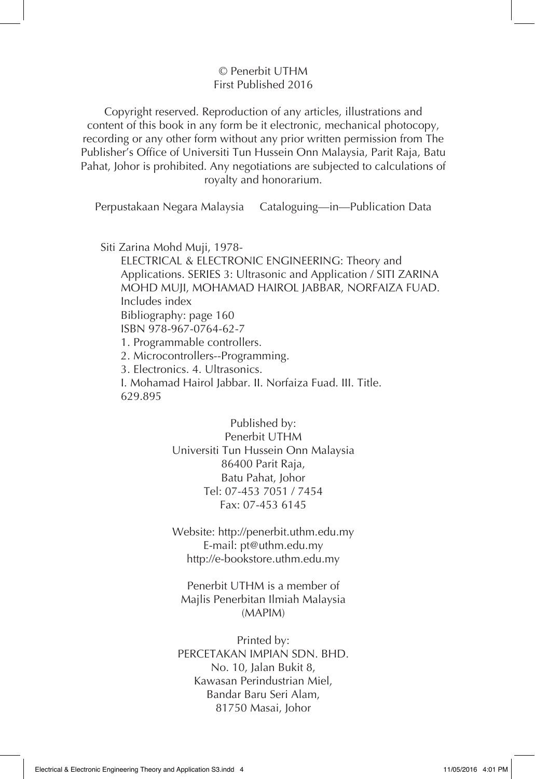#### © Penerbit UTHM First Published 2016

Copyright reserved. Reproduction of any articles, illustrations and content of this book in any form be it electronic, mechanical photocopy, recording or any other form without any prior written permission from The Publisher's Office of Universiti Tun Hussein Onn Malaysia, Parit Raja, Batu Pahat, Johor is prohibited. Any negotiations are subjected to calculations of royalty and honorarium.

Perpustakaan Negara Malaysia Cataloguing—in—Publication Data

Siti Zarina Mohd Muji, 1978-

ELECTRICAL & ELECTRONIC ENGINEERING: Theory and Applications. SERIES 3: Ultrasonic and Application / SITI ZARINA MOHD MUJI, MOHAMAD HAIROL JABBAR, NORFAIZA FUAD. Includes index Bibliography: page 160 ISBN 978-967-0764-62-7 1. Programmable controllers. 2. Microcontrollers--Programming. 3. Electronics. 4. Ultrasonics. I. Mohamad Hairol Jabbar. II. Norfaiza Fuad. III. Title. 629.895

> Published by: Penerbit UTHM Universiti Tun Hussein Onn Malaysia 86400 Parit Raja, Batu Pahat, Johor Tel: 07-453 7051 / 7454 Fax: 07-453 6145

> Website: http://penerbit.uthm.edu.my E-mail: pt@uthm.edu.my http://e-bookstore.uthm.edu.my

Penerbit UTHM is a member of Majlis Penerbitan Ilmiah Malaysia (MAPIM)

Printed by: PERCETAKAN IMPIAN SDN. BHD. No. 10, Jalan Bukit 8, Kawasan Perindustrian Miel, Bandar Baru Seri Alam, 81750 Masai, Johor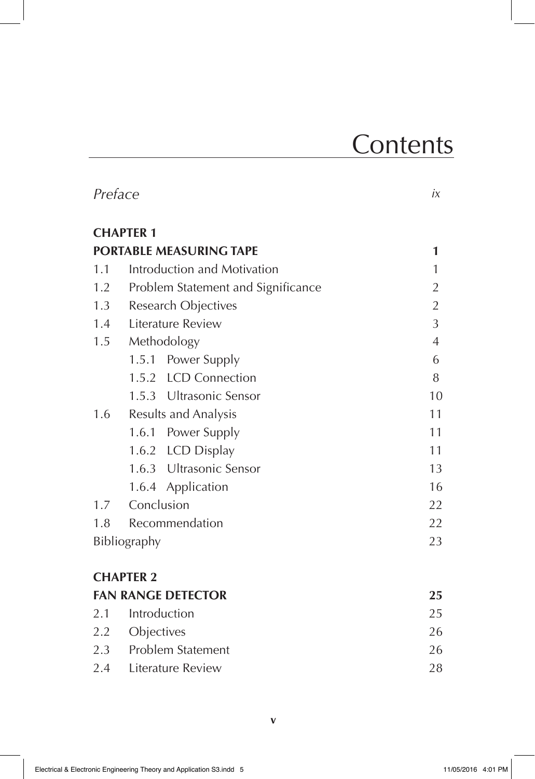# **Contents**

|     | Preface                            |  | iх             |  |
|-----|------------------------------------|--|----------------|--|
|     | <b>CHAPTER 1</b>                   |  |                |  |
|     | <b>PORTABLE MEASURING TAPE</b>     |  | 1              |  |
| 1.1 | Introduction and Motivation        |  | $\mathbf{1}$   |  |
| 1.2 | Problem Statement and Significance |  | $\overline{2}$ |  |
| 1.3 | Research Objectives                |  | $\overline{2}$ |  |
| 1.4 | Literature Review                  |  | 3              |  |
|     | 1.5 Methodology                    |  | $\overline{4}$ |  |
|     | 1.5.1 Power Supply                 |  | 6              |  |
|     | 1.5.2 LCD Connection               |  | 8              |  |
|     | 1.5.3 Ultrasonic Sensor            |  | 10             |  |
| 1.6 | <b>Results and Analysis</b>        |  | 11             |  |
|     | 1.6.1 Power Supply                 |  | 11             |  |
|     | 1.6.2 LCD Display                  |  | 11             |  |
|     | 1.6.3 Ultrasonic Sensor            |  | 13             |  |
|     | 1.6.4 Application                  |  | 16             |  |
|     | 1.7 Conclusion                     |  | 22             |  |
| 1.8 | Recommendation                     |  | 22             |  |
|     | Bibliography                       |  | 23             |  |
|     | <b>CHAPTER 2</b>                   |  |                |  |
|     | <b>FAN RANGE DETECTOR</b>          |  | 25             |  |
| 2.1 | Introduction                       |  | 25             |  |
|     | 2.2 Objectives                     |  | 26             |  |
|     | 2.3 Problem Statement              |  | 26             |  |
|     | 2.4 Literature Review              |  | 28             |  |
|     |                                    |  |                |  |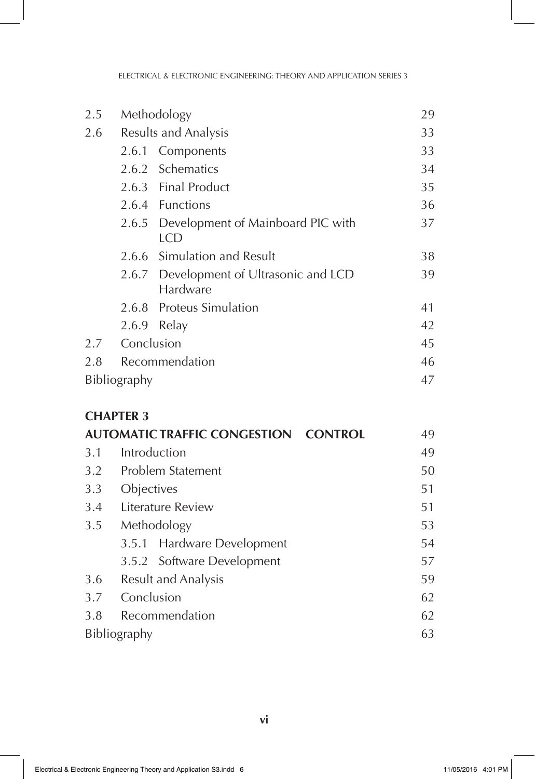| 2.5 | Methodology          |                                                     | 29 |
|-----|----------------------|-----------------------------------------------------|----|
| 2.6 | Results and Analysis |                                                     | 33 |
|     |                      | 2.6.1 Components                                    | 33 |
|     |                      | 2.6.2 Schematics                                    | 34 |
|     |                      | 2.6.3 Final Product                                 | 35 |
|     |                      | 2.6.4 Functions                                     | 36 |
|     |                      | 2.6.5 Development of Mainboard PIC with<br>LCD      | 37 |
|     |                      | 2.6.6 Simulation and Result                         | 38 |
|     |                      | 2.6.7 Development of Ultrasonic and LCD<br>Hardware | 39 |
|     |                      | 2.6.8 Proteus Simulation                            | 41 |
|     |                      | 2.6.9 Relay                                         | 42 |
| 2.7 | Conclusion           |                                                     | 45 |
| 2.8 | Recommendation       |                                                     | 46 |
|     | Bibliography         |                                                     | 47 |

|              | <b>AUTOMATIC TRAFFIC CONGESTION CONTROL</b> | 49 |
|--------------|---------------------------------------------|----|
| 3.1          | Introduction                                | 49 |
| 3.2          | Problem Statement                           | 50 |
| 3.3          | Objectives                                  | 51 |
| 3.4          | Literature Review                           | 51 |
| 3.5          | Methodology                                 | 53 |
|              | 3.5.1 Hardware Development                  | 54 |
|              | 3.5.2 Software Development                  | 57 |
| 3.6          | Result and Analysis                         | 59 |
| 3.7          | Conclusion                                  | 62 |
| 3.8          | Recommendation                              | 62 |
| Bibliography |                                             |    |
|              |                                             |    |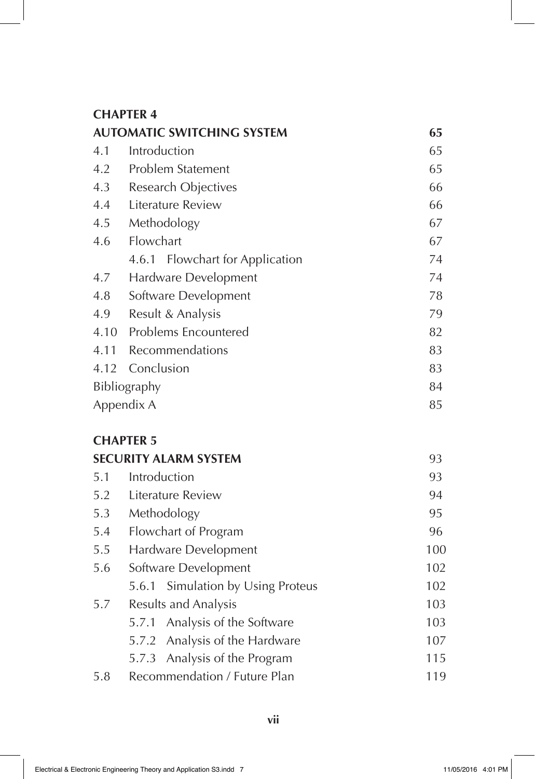| <b>AUTOMATIC SWITCHING SYSTEM</b> | 65                              |    |
|-----------------------------------|---------------------------------|----|
| 4.1                               | Introduction                    | 65 |
| 4.2                               | Problem Statement               | 65 |
| 4.3                               | Research Objectives             | 66 |
| 4.4                               | Literature Review               | 66 |
| 4.5                               | Methodology                     | 67 |
| 4.6                               | Flowchart                       | 67 |
|                                   | 4.6.1 Flowchart for Application | 74 |
| 4.7                               | Hardware Development            | 74 |
| 4.8                               | Software Development            | 78 |
| 4.9                               | Result & Analysis               | 79 |
| 4.10                              | Problems Encountered            | 82 |
| 4.11                              | Recommendations                 | 83 |
|                                   | 4.12 Conclusion                 | 83 |
| Bibliography                      |                                 | 84 |
|                                   | Appendix A                      | 85 |
|                                   |                                 |    |

# **CHAPTER 5**

|     | <b>SECURITY ALARM SYSTEM</b>      | 93  |
|-----|-----------------------------------|-----|
| 5.1 | Introduction                      | 93  |
| 5.2 | Literature Review                 | 94  |
| 5.3 | Methodology                       | 95  |
| 5.4 | Flowchart of Program              | 96  |
| 5.5 | Hardware Development              | 100 |
| 5.6 | Software Development              | 102 |
|     | 5.6.1 Simulation by Using Proteus | 102 |
| 5.7 | Results and Analysis              | 103 |
|     | 5.7.1 Analysis of the Software    | 103 |
|     | 5.7.2 Analysis of the Hardware    | 107 |
|     | 5.7.3 Analysis of the Program     | 115 |
| 5.8 | Recommendation / Future Plan      | 119 |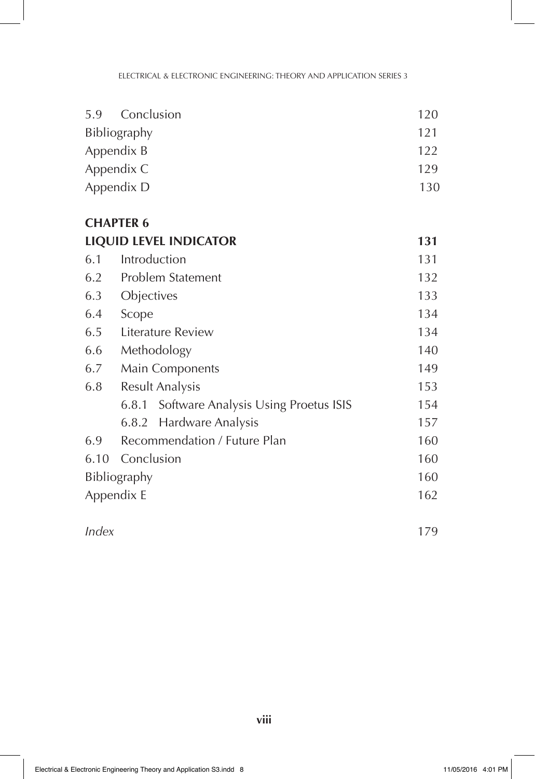| 5.9 Conclusion | 120 |
|----------------|-----|
| Bibliography   | 121 |
| Appendix B     | 122 |
| Appendix C     | 129 |
| Appendix D     | 130 |
|                |     |

| <b>LIQUID LEVEL INDICATOR</b> |                                            | 131 |
|-------------------------------|--------------------------------------------|-----|
| 6.1                           | Introduction                               | 131 |
| 6.2                           | Problem Statement                          | 132 |
| 6.3                           | Objectives                                 | 133 |
| 6.4                           | Scope                                      | 134 |
| 6.5                           | Literature Review                          | 134 |
| 6.6                           | Methodology                                | 140 |
| 6.7                           | Main Components                            | 149 |
| 6.8                           | <b>Result Analysis</b>                     | 153 |
|                               | 6.8.1 Software Analysis Using Proetus ISIS | 154 |
|                               | 6.8.2 Hardware Analysis                    | 157 |
| 6.9                           | Recommendation / Future Plan               | 160 |
|                               | 6.10 Conclusion                            | 160 |
| Bibliography                  |                                            | 160 |
|                               | Appendix E                                 | 162 |
| Index                         |                                            | 179 |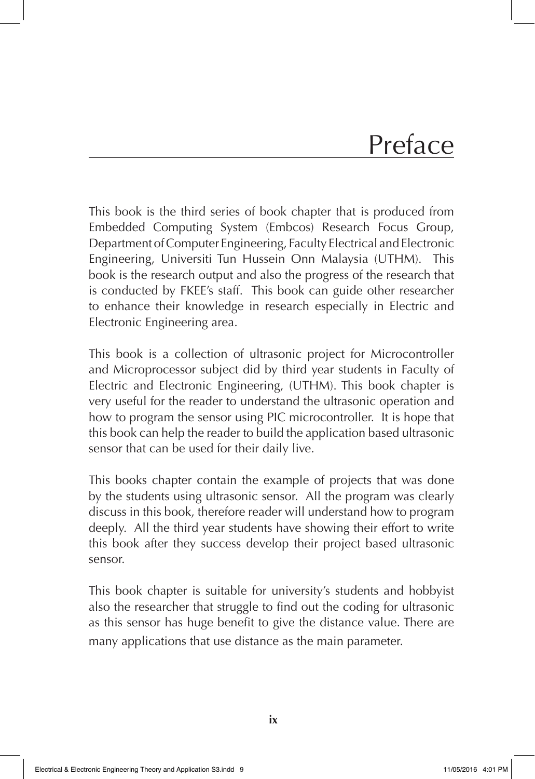# Preface

This book is the third series of book chapter that is produced from Embedded Computing System (Embcos) Research Focus Group, Department of Computer Engineering, Faculty Electrical and Electronic Engineering, Universiti Tun Hussein Onn Malaysia (UTHM). This book is the research output and also the progress of the research that is conducted by FKEE's staff. This book can guide other researcher to enhance their knowledge in research especially in Electric and Electronic Engineering area.

This book is a collection of ultrasonic project for Microcontroller and Microprocessor subject did by third year students in Faculty of Electric and Electronic Engineering, (UTHM). This book chapter is very useful for the reader to understand the ultrasonic operation and how to program the sensor using PIC microcontroller. It is hope that this book can help the reader to build the application based ultrasonic sensor that can be used for their daily live.

This books chapter contain the example of projects that was done by the students using ultrasonic sensor. All the program was clearly discuss in this book, therefore reader will understand how to program deeply. All the third year students have showing their effort to write this book after they success develop their project based ultrasonic sensor.

This book chapter is suitable for university's students and hobbyist also the researcher that struggle to find out the coding for ultrasonic as this sensor has huge benefit to give the distance value. There are many applications that use distance as the main parameter.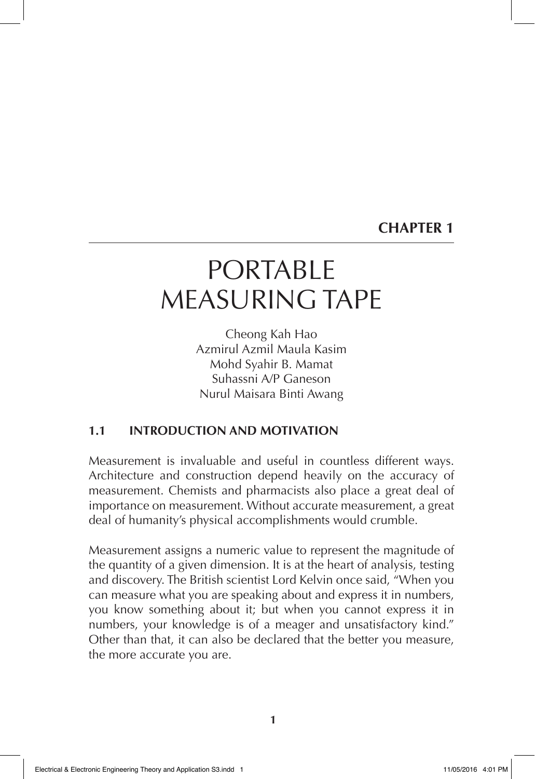# PORTABLE MEASURING TAPE

Cheong Kah Hao Azmirul Azmil Maula Kasim Mohd Syahir B. Mamat Suhassni A/P Ganeson Nurul Maisara Binti Awang

# **1.1 INTRODUCTION AND MOTIVATION**

Measurement is invaluable and useful in countless different ways. Architecture and construction depend heavily on the accuracy of measurement. Chemists and pharmacists also place a great deal of importance on measurement. Without accurate measurement, a great deal of humanity's physical accomplishments would crumble.

Measurement assigns a numeric value to represent the magnitude of the quantity of a given dimension. It is at the heart of analysis, testing and discovery. The British scientist Lord Kelvin once said, "When you can measure what you are speaking about and express it in numbers, you know something about it; but when you cannot express it in numbers, your knowledge is of a meager and unsatisfactory kind." Other than that, it can also be declared that the better you measure, the more accurate you are.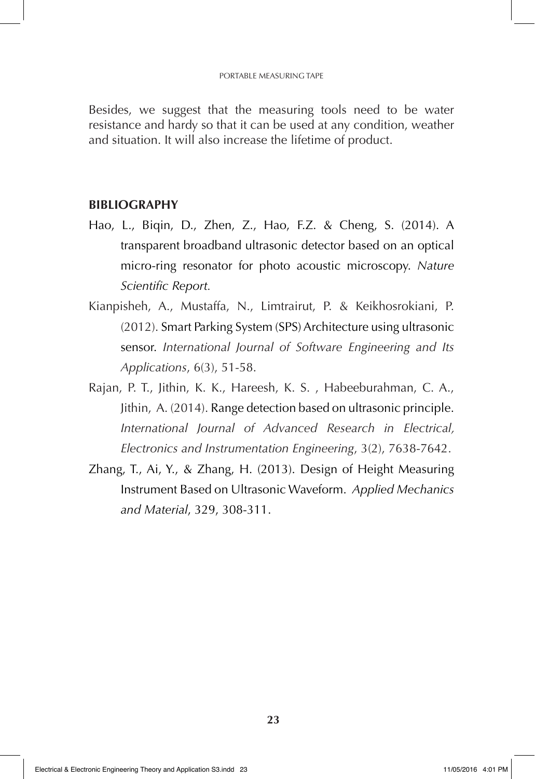Besides, we suggest that the measuring tools need to be water resistance and hardy so that it can be used at any condition, weather and situation. It will also increase the lifetime of product.

- Hao, L., Biqin, D., Zhen, Z., Hao, F.Z. & Cheng, S. (2014). A transparent broadband ultrasonic detector based on an optical micro-ring resonator for photo acoustic microscopy. *Nature Scientific Report.*
- Kianpisheh, A., Mustaffa, N., Limtrairut, P. & Keikhosrokiani, P. (2012). Smart Parking System (SPS) Architecture using ultrasonic sensor. *International Journal of Software Engineering and Its Applications*, 6(3), 51-58.
- Rajan, P. T., Jithin, K. K., Hareesh, K. S. , Habeeburahman, C. A., Jithin, A. (2014). Range detection based on ultrasonic principle. *International Journal of Advanced Research in Electrical, Electronics and Instrumentation Engineering*, 3(2), 7638-7642.
- Zhang, T., Ai, Y., & Zhang, H. (2013). Design of Height Measuring Instrument Based on Ultrasonic Waveform. *Applied Mechanics and Material*, 329, 308-311.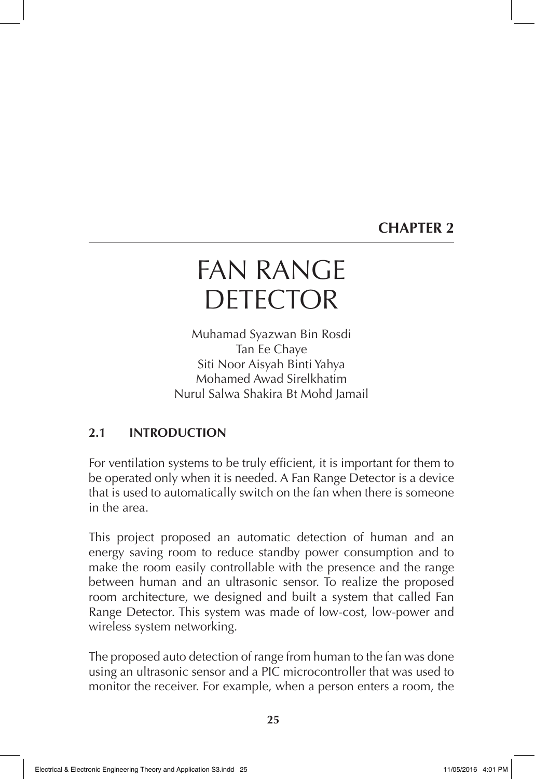# FAN RANGE DETECTOR

Muhamad Syazwan Bin Rosdi Tan Ee Chaye Siti Noor Aisyah Binti Yahya Mohamed Awad Sirelkhatim Nurul Salwa Shakira Bt Mohd Jamail

# **2.1 INTRODUCTION**

For ventilation systems to be truly efficient, it is important for them to be operated only when it is needed. A Fan Range Detector is a device that is used to automatically switch on the fan when there is someone in the area.

This project proposed an automatic detection of human and an energy saving room to reduce standby power consumption and to make the room easily controllable with the presence and the range between human and an ultrasonic sensor. To realize the proposed room architecture, we designed and built a system that called Fan Range Detector. This system was made of low-cost, low-power and wireless system networking.

The proposed auto detection of range from human to the fan was done using an ultrasonic sensor and a PIC microcontroller that was used to monitor the receiver. For example, when a person enters a room, the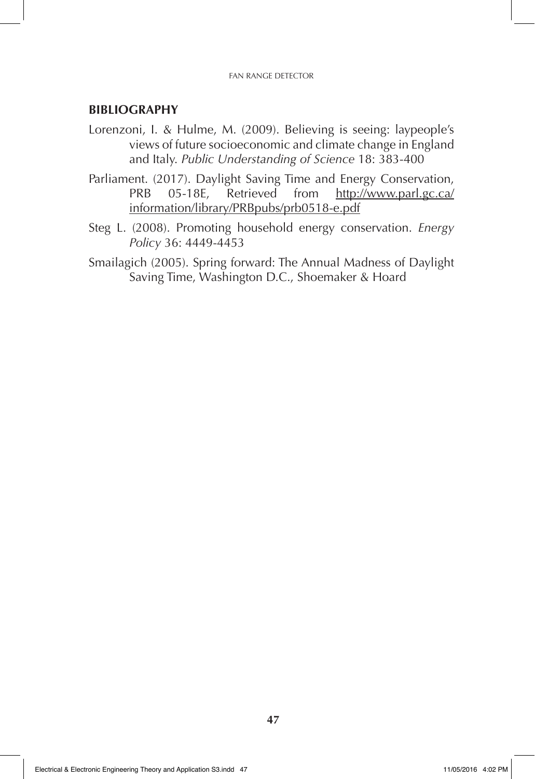#### FAN RANGE DETECTOR

- Lorenzoni, I. & Hulme, M. (2009). Believing is seeing: laypeople's views of future socioeconomic and climate change in England and Italy. *Public Understanding of Science* 18: 383-400
- Parliament. (2017). Daylight Saving Time and Energy Conservation, PRB 05-18E, Retrieved from http://www.parl.gc.ca/ information/library/PRBpubs/prb0518-e.pdf
- Steg L. (2008). Promoting household energy conservation. *Energy Policy* 36: 4449-4453
- Smailagich (2005). Spring forward: The Annual Madness of Daylight Saving Time, Washington D.C., Shoemaker & Hoard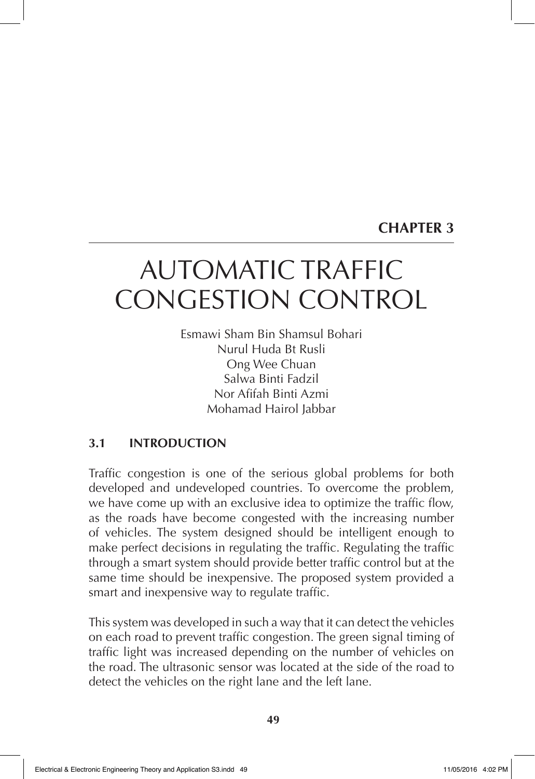# AUTOMATIC TRAFFIC CONGESTION CONTROL

Esmawi Sham Bin Shamsul Bohari Nurul Huda Bt Rusli Ong Wee Chuan Salwa Binti Fadzil Nor Afifah Binti Azmi Mohamad Hairol Jabbar

# **3.1 INTRODUCTION**

Traffic congestion is one of the serious global problems for both developed and undeveloped countries. To overcome the problem, we have come up with an exclusive idea to optimize the traffic flow, as the roads have become congested with the increasing number of vehicles. The system designed should be intelligent enough to make perfect decisions in regulating the traffic. Regulating the traffic through a smart system should provide better traffic control but at the same time should be inexpensive. The proposed system provided a smart and inexpensive way to regulate traffic.

This system was developed in such a way that it can detect the vehicles on each road to prevent traffic congestion. The green signal timing of traffic light was increased depending on the number of vehicles on the road. The ultrasonic sensor was located at the side of the road to detect the vehicles on the right lane and the left lane.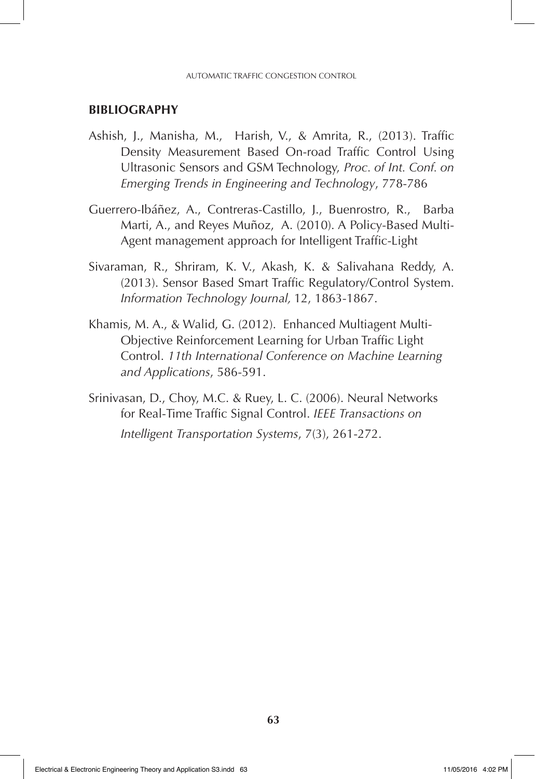- Ashish, J., Manisha, M., Harish, V., & Amrita, R., (2013). Traffic Density Measurement Based On-road Traffic Control Using Ultrasonic Sensors and GSM Technology, *Proc. of Int. Conf. on Emerging Trends in Engineering and Technology*, 778-786
- Guerrero-Ibáñez, A., Contreras-Castillo, J., Buenrostro, R., Barba Marti, A., and Reyes Muñoz, A. (2010). A Policy-Based Multi-Agent management approach for Intelligent Traffic-Light
- Sivaraman, R., Shriram, K. V., Akash, K. & Salivahana Reddy, A. (2013). Sensor Based Smart Traffic Regulatory/Control System. *Information Technology Journal,* 12, 1863-1867.
- Khamis, M. A., & Walid, G. (2012). Enhanced Multiagent Multi-Objective Reinforcement Learning for Urban Traffic Light Control. *11th International Conference on Machine Learning and Applications*, 586-591.
- Srinivasan, D., Choy, M.C. & Ruey, L. C. (2006). Neural Networks for Real-Time Traffic Signal Control. *IEEE Transactions on Intelligent Transportation Systems*, 7(3), 261-272.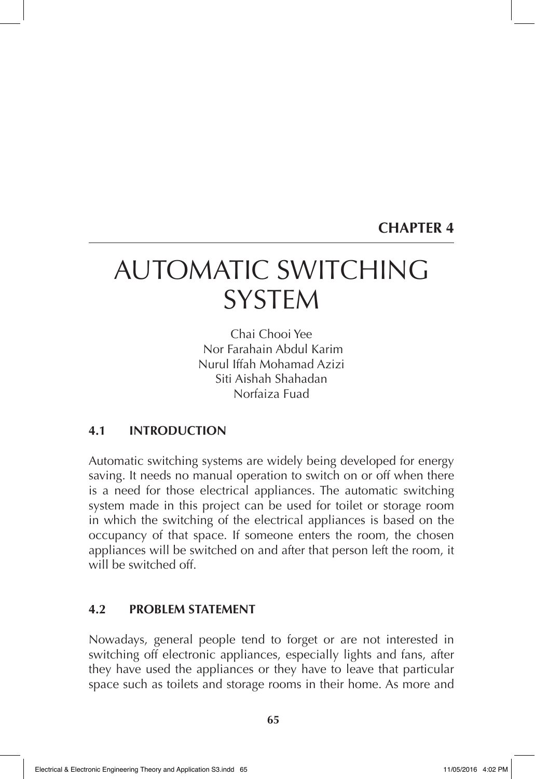# AUTOMATIC SWITCHING **SYSTEM**

Chai Chooi Yee Nor Farahain Abdul Karim Nurul Iffah Mohamad Azizi Siti Aishah Shahadan Norfaiza Fuad

# **4.1 INTRODUCTION**

Automatic switching systems are widely being developed for energy saving. It needs no manual operation to switch on or off when there is a need for those electrical appliances. The automatic switching system made in this project can be used for toilet or storage room in which the switching of the electrical appliances is based on the occupancy of that space. If someone enters the room, the chosen appliances will be switched on and after that person left the room, it will be switched off.

### **4.2 PROBLEM STATEMENT**

Nowadays, general people tend to forget or are not interested in switching off electronic appliances, especially lights and fans, after they have used the appliances or they have to leave that particular space such as toilets and storage rooms in their home. As more and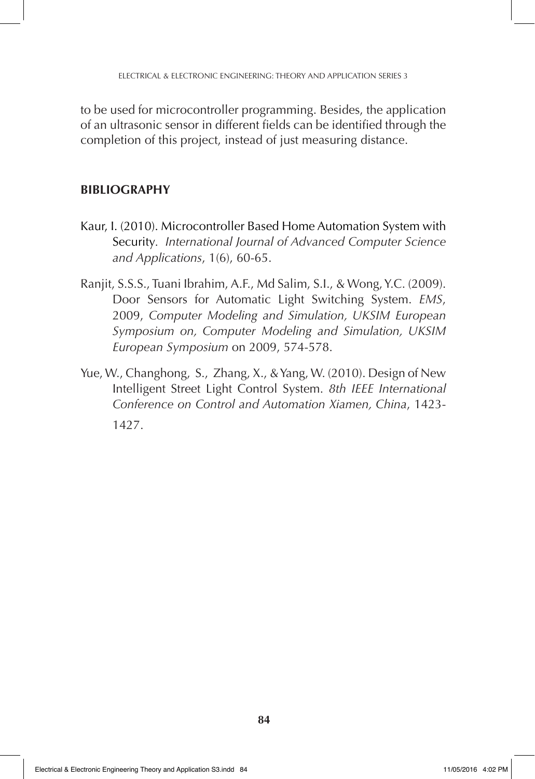to be used for microcontroller programming. Besides, the application of an ultrasonic sensor in different fields can be identified through the completion of this project, instead of just measuring distance.

- Kaur, I. (2010). Microcontroller Based Home Automation System with Security*. International Journal of Advanced Computer Science and Applications*, 1(6), 60-65.
- Ranjit, S.S.S., Tuani Ibrahim, A.F., Md Salim, S.I., & Wong, Y.C. (2009). Door Sensors for Automatic Light Switching System. *EMS*, 2009, *Computer Modeling and Simulation, UKSIM European Symposium on, Computer Modeling and Simulation, UKSIM European Symposium* on 2009, 574-578.
- Yue, W., Changhong, S., Zhang, X., & Yang, W. (2010). Design of New Intelligent Street Light Control System. *8th IEEE International Conference on Control and Automation Xiamen, China*, 1423- 1427.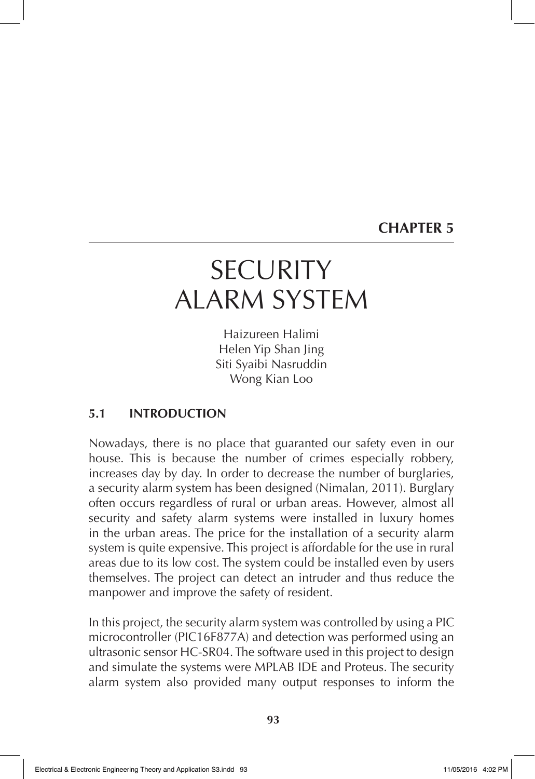# **SECURITY** ALARM SYSTEM

Haizureen Halimi Helen Yip Shan Jing Siti Syaibi Nasruddin Wong Kian Loo

# **5.1 INTRODUCTION**

Nowadays, there is no place that guaranted our safety even in our house. This is because the number of crimes especially robbery, increases day by day. In order to decrease the number of burglaries, a security alarm system has been designed (Nimalan, 2011). Burglary often occurs regardless of rural or urban areas. However, almost all security and safety alarm systems were installed in luxury homes in the urban areas. The price for the installation of a security alarm system is quite expensive. This project is affordable for the use in rural areas due to its low cost. The system could be installed even by users themselves. The project can detect an intruder and thus reduce the manpower and improve the safety of resident.

In this project, the security alarm system was controlled by using a PIC microcontroller (PIC16F877A) and detection was performed using an ultrasonic sensor HC-SR04. The software used in this project to design and simulate the systems were MPLAB IDE and Proteus. The security alarm system also provided many output responses to inform the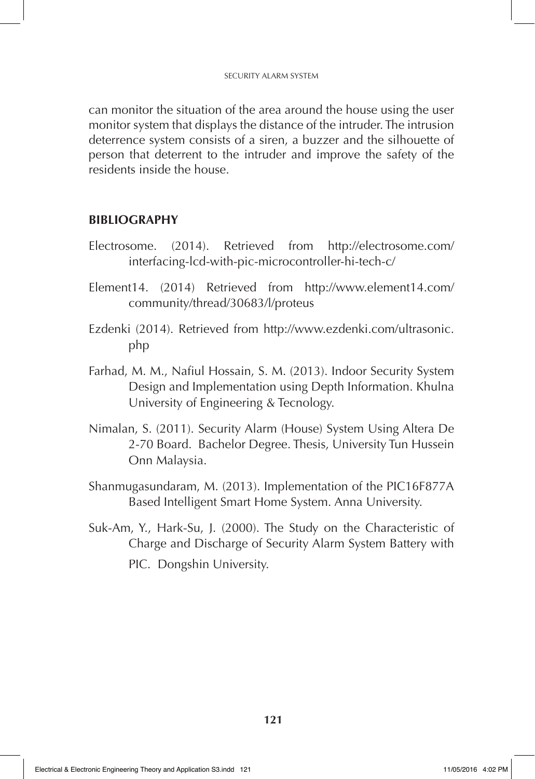can monitor the situation of the area around the house using the user monitor system that displays the distance of the intruder. The intrusion deterrence system consists of a siren, a buzzer and the silhouette of person that deterrent to the intruder and improve the safety of the residents inside the house.

- Electrosome. (2014). Retrieved from http://electrosome.com/ interfacing-lcd-with-pic-microcontroller-hi-tech-c/
- Element14. (2014) Retrieved from http://www.element14.com/ community/thread/30683/l/proteus
- Ezdenki (2014). Retrieved from http://www.ezdenki.com/ultrasonic. php
- Farhad, M. M., Nafiul Hossain, S. M. (2013). Indoor Security System Design and Implementation using Depth Information. Khulna University of Engineering & Tecnology.
- Nimalan, S. (2011). Security Alarm (House) System Using Altera De 2-70 Board. Bachelor Degree. Thesis, University Tun Hussein Onn Malaysia.
- Shanmugasundaram, M. (2013). Implementation of the PIC16F877A Based Intelligent Smart Home System. Anna University.
- Suk-Am, Y., Hark-Su, J. (2000). The Study on the Characteristic of Charge and Discharge of Security Alarm System Battery with PIC. Dongshin University.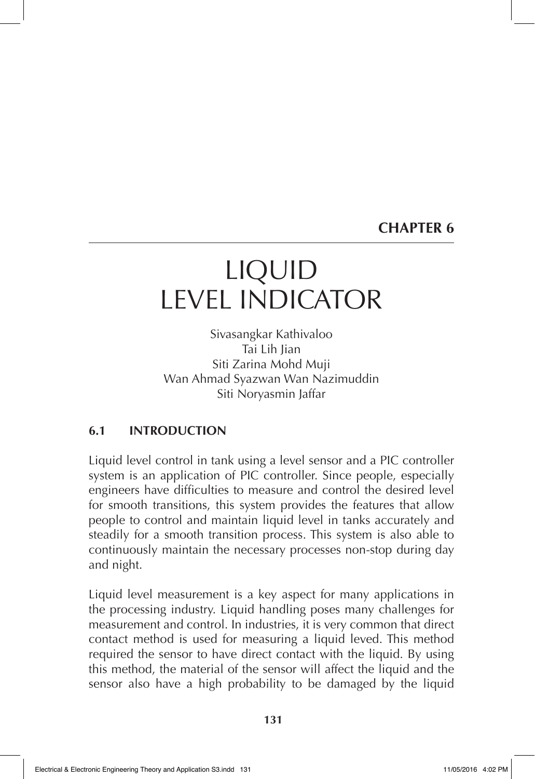# LIQUID LEVEL INDICATOR

Sivasangkar Kathivaloo Tai Lih Jian Siti Zarina Mohd Muji Wan Ahmad Syazwan Wan Nazimuddin Siti Noryasmin Jaffar

### **6.1 INTRODUCTION**

Liquid level control in tank using a level sensor and a PIC controller system is an application of PIC controller. Since people, especially engineers have difficulties to measure and control the desired level for smooth transitions, this system provides the features that allow people to control and maintain liquid level in tanks accurately and steadily for a smooth transition process. This system is also able to continuously maintain the necessary processes non-stop during day and night.

Liquid level measurement is a key aspect for many applications in the processing industry. Liquid handling poses many challenges for measurement and control. In industries, it is very common that direct contact method is used for measuring a liquid leved. This method required the sensor to have direct contact with the liquid. By using this method, the material of the sensor will affect the liquid and the sensor also have a high probability to be damaged by the liquid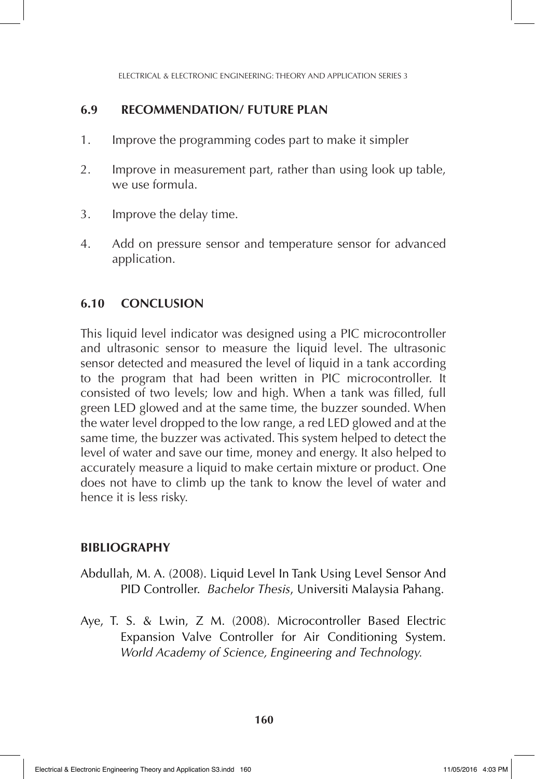ELECTRICAL & ELECTRONIC ENGINEERING: THEORY AND APPLICATION SERIES 3

### **6.9 RECOMMENDATION/ FUTURE PLAN**

- 1. Improve the programming codes part to make it simpler
- 2. Improve in measurement part, rather than using look up table, we use formula.
- 3. Improve the delay time.
- 4. Add on pressure sensor and temperature sensor for advanced application.

### **6.10 CONCLUSION**

This liquid level indicator was designed using a PIC microcontroller and ultrasonic sensor to measure the liquid level. The ultrasonic sensor detected and measured the level of liquid in a tank according to the program that had been written in PIC microcontroller. It consisted of two levels; low and high. When a tank was filled, full green LED glowed and at the same time, the buzzer sounded. When the water level dropped to the low range, a red LED glowed and at the same time, the buzzer was activated. This system helped to detect the level of water and save our time, money and energy. It also helped to accurately measure a liquid to make certain mixture or product. One does not have to climb up the tank to know the level of water and hence it is less risky.

- Abdullah, M. A. (2008). Liquid Level In Tank Using Level Sensor And PID Controller. *Bachelor Thesis*, Universiti Malaysia Pahang.
- Aye, T. S. & Lwin, Z M. (2008). Microcontroller Based Electric Expansion Valve Controller for Air Conditioning System. *World Academy of Science, Engineering and Technology.*